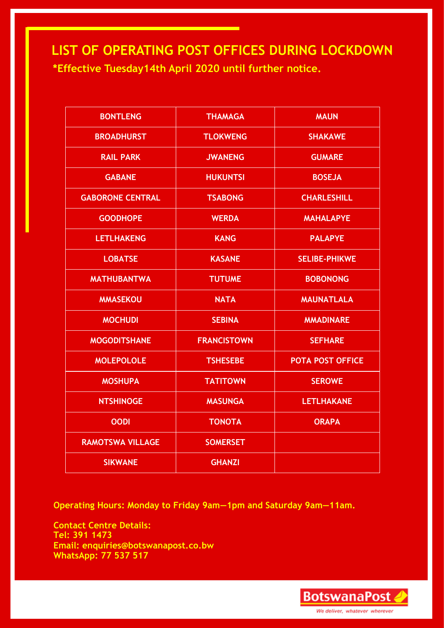**LIST OF OPERATING POST OFFICES DURING LOCKDOWN \*Effective Tuesday14th April 2020 until further notice.** 

| <b>BONTLENG</b>         | <b>THAMAGA</b>     | <b>MAUN</b>             |
|-------------------------|--------------------|-------------------------|
| <b>BROADHURST</b>       | <b>TLOKWENG</b>    | <b>SHAKAWE</b>          |
| <b>RAIL PARK</b>        | <b>JWANENG</b>     | <b>GUMARE</b>           |
| <b>GABANE</b>           | <b>HUKUNTSI</b>    | <b>BOSEJA</b>           |
| <b>GABORONE CENTRAL</b> | <b>TSABONG</b>     | <b>CHARLESHILL</b>      |
| <b>GOODHOPE</b>         | <b>WERDA</b>       | <b>MAHALAPYE</b>        |
| <b>LETLHAKENG</b>       | <b>KANG</b>        | <b>PALAPYE</b>          |
| <b>LOBATSE</b>          | <b>KASANE</b>      | <b>SELIBE-PHIKWE</b>    |
| <b>MATHUBANTWA</b>      | <b>TUTUME</b>      | <b>BOBONONG</b>         |
| <b>MMASEKOU</b>         | <b>NATA</b>        | <b>MAUNATLALA</b>       |
| <b>MOCHUDI</b>          | <b>SEBINA</b>      | <b>MMADINARE</b>        |
| <b>MOGODITSHANE</b>     | <b>FRANCISTOWN</b> | <b>SEFHARE</b>          |
| <b>MOLEPOLOLE</b>       | <b>TSHESEBE</b>    | <b>POTA POST OFFICE</b> |
| <b>MOSHUPA</b>          | <b>TATITOWN</b>    | <b>SEROWE</b>           |
| <b>NTSHINOGE</b>        | <b>MASUNGA</b>     | <b>LETLHAKANE</b>       |
| <b>OODI</b>             | <b>TONOTA</b>      | <b>ORAPA</b>            |
| <b>RAMOTSWA VILLAGE</b> | <b>SOMERSET</b>    |                         |
| <b>SIKWANE</b>          | <b>GHANZI</b>      |                         |

**Operating Hours: Monday to Friday 9am—1pm and Saturday 9am—11am.** 

**Contact Centre Details: Tel: 391 1473 Email: enquiries@botswanapost.co.bw WhatsApp: 77 537 517**